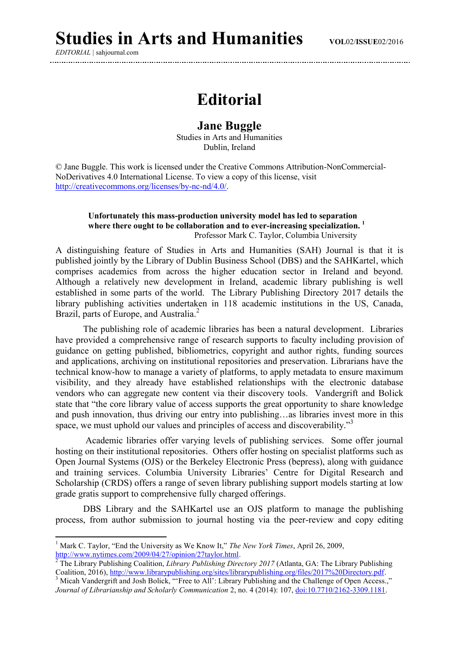*EDITORIAL |* sahjournal.com

1

## **Editorial**

## **Jane Buggle**

Studies in Arts and Humanities Dublin, Ireland

© Jane Buggle. This work is licensed under the Creative Commons Attribution-NonCommercial-NoDerivatives 4.0 International License. To view a copy of this license, visit [http://creativecommons.org/licenses/by-nc-nd/4.0/.](http://creativecommons.org/licenses/by-nc-nd/4.0/)

## **Unfortunately this mass-production university model has led to separation where there ought to be collaboration and to ever-increasing specialization. <sup>1</sup>** Professor Mark C. Taylor, Columbia University

A distinguishing feature of Studies in Arts and Humanities (SAH) Journal is that it is published jointly by the Library of Dublin Business School (DBS) and the SAHKartel, which comprises academics from across the higher education sector in Ireland and beyond. Although a relatively new development in Ireland, academic library publishing is well established in some parts of the world. The Library Publishing Directory 2017 details the library publishing activities undertaken in 118 academic institutions in the US, Canada, Brazil, parts of Europe, and Australia.<sup>2</sup>

The publishing role of academic libraries has been a natural development. Libraries have provided a comprehensive range of research supports to faculty including provision of guidance on getting published, bibliometrics, copyright and author rights, funding sources and applications, archiving on institutional repositories and preservation. Librarians have the technical know-how to manage a variety of platforms, to apply metadata to ensure maximum visibility, and they already have established relationships with the electronic database vendors who can aggregate new content via their discovery tools. Vandergrift and Bolick state that "the core library value of access supports the great opportunity to share knowledge and push innovation, thus driving our entry into publishing…as libraries invest more in this space, we must uphold our values and principles of access and discoverability."<sup>3</sup>

Academic libraries offer varying levels of publishing services. Some offer journal hosting on their institutional repositories. Others offer hosting on specialist platforms such as Open Journal Systems (OJS) or the Berkeley Electronic Press (bepress), along with guidance and training services. Columbia University Libraries' Centre for Digital Research and Scholarship (CRDS) offers a range of seven library publishing support models starting at low grade gratis support to comprehensive fully charged offerings.

DBS Library and the SAHKartel use an OJS platform to manage the publishing process, from author submission to journal hosting via the peer-review and copy editing

<sup>1</sup> Mark C. Taylor, "End the University as We Know It," *The New York Times*, April 26, 2009, [http://www.nytimes.com/2009/04/27/opinion/27taylor.html.](http://www.nytimes.com/2009/04/27/opinion/27taylor.html)

<sup>&</sup>lt;sup>2</sup> The Library Publishing Coalition, *Library Publishing Directory 2017* (Atlanta, GA: The Library Publishing Coalition, 2016)[, http://www.librarypublishing.org/sites/librarypublishing.org/files/2017%20Directory.pdf.](http://www.librarypublishing.org/sites/librarypublishing.org/files/2017%20Directory.pdf)

<sup>&</sup>lt;sup>3</sup> Micah Vandergrift and Josh Bolick, "'Free to All': Library Publishing and the Challenge of Open Access., *Journal of Librarianship and Scholarly Communication* 2, no. 4 (2014): 107, [doi:10.7710/2162-3309.1181.](doi:10.7710/2162-3309.1181)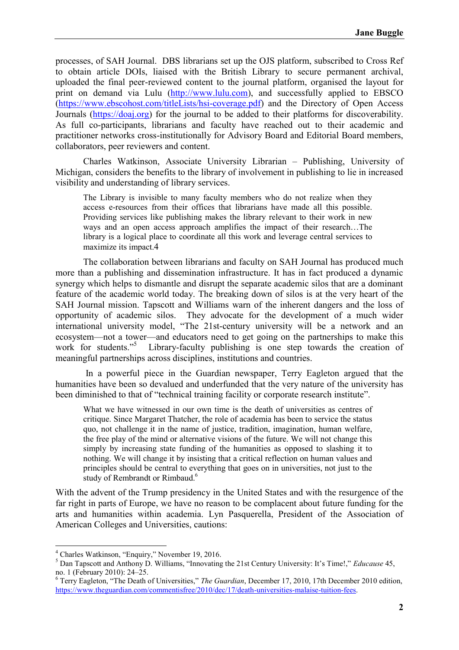processes, of SAH Journal. DBS librarians set up the OJS platform, subscribed to Cross Ref to obtain article DOIs, liaised with the British Library to secure permanent archival, uploaded the final peer-reviewed content to the journal platform, organised the layout for print on demand via Lulu [\(http://www.lulu.com\)](http://www.lulu.com/), and successfully applied to EBSCO [\(https://www.ebscohost.com/titleLists/hsi-coverage.pdf\)](https://www.ebscohost.com/titleLists/hsi-coverage.pdf) and the Directory of Open Access Journals [\(https://doaj.org\)](https://doaj.org/) for the journal to be added to their platforms for discoverability. As full co-participants, librarians and faculty have reached out to their academic and practitioner networks cross-institutionally for Advisory Board and Editorial Board members, collaborators, peer reviewers and content.

Charles Watkinson, Associate University Librarian – Publishing, University of Michigan, considers the benefits to the library of involvement in publishing to lie in increased visibility and understanding of library services.

The Library is invisible to many faculty members who do not realize when they access e-resources from their offices that librarians have made all this possible. Providing services like publishing makes the library relevant to their work in new ways and an open access approach amplifies the impact of their research…The library is a logical place to coordinate all this work and leverage central services to maximize its impact.4

The collaboration between librarians and faculty on SAH Journal has produced much more than a publishing and dissemination infrastructure. It has in fact produced a dynamic synergy which helps to dismantle and disrupt the separate academic silos that are a dominant feature of the academic world today. The breaking down of silos is at the very heart of the SAH Journal mission. Tapscott and Williams warn of the inherent dangers and the loss of opportunity of academic silos. They advocate for the development of a much wider international university model, "The 21st-century university will be a network and an ecosystem—not a tower—and educators need to get going on the partnerships to make this work for students."<sup>5</sup> Library-faculty publishing is one step towards the creation of meaningful partnerships across disciplines, institutions and countries.

In a powerful piece in the Guardian newspaper, Terry Eagleton argued that the humanities have been so devalued and underfunded that the very nature of the university has been diminished to that of "technical training facility or corporate research institute".

What we have witnessed in our own time is the death of universities as centres of critique. Since Margaret Thatcher, the role of academia has been to service the status quo, not challenge it in the name of justice, tradition, imagination, human welfare, the free play of the mind or alternative visions of the future. We will not change this simply by increasing state funding of the humanities as opposed to slashing it to nothing. We will change it by insisting that a critical reflection on human values and principles should be central to everything that goes on in universities, not just to the study of Rembrandt or Rimbaud.<sup>6</sup>

With the advent of the Trump presidency in the United States and with the resurgence of the far right in parts of Europe, we have no reason to be complacent about future funding for the arts and humanities within academia. Lyn Pasquerella, President of the Association of American Colleges and Universities, cautions:

**.** 

<sup>4</sup> Charles Watkinson, "Enquiry," November 19, 2016.

<sup>5</sup> Dan Tapscott and Anthony D. Williams, "Innovating the 21st Century University: It's Time!," *Educause* 45, no. 1 (February 2010): 24–25.

<sup>6</sup> Terry Eagleton, "The Death of Universities," *The Guardian*, December 17, 2010, 17th December 2010 edition, [https://www.theguardian.com/commentisfree/2010/dec/17/death-universities-malaise-tuition-fees.](https://www.theguardian.com/commentisfree/2010/dec/17/death-universities-malaise-tuition-fees)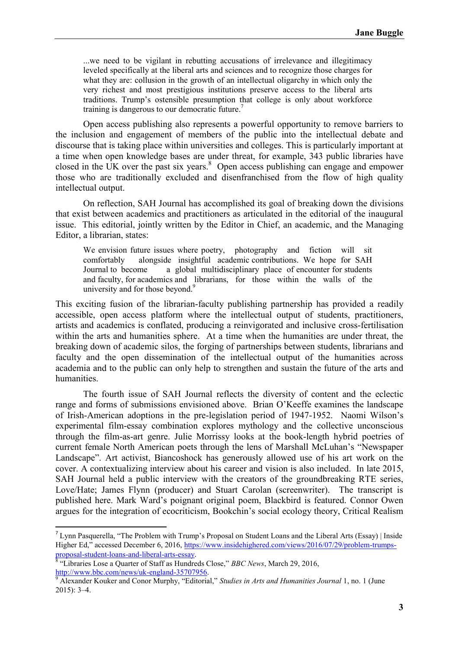...we need to be vigilant in rebutting accusations of irrelevance and illegitimacy leveled specifically at the liberal arts and sciences and to recognize those charges for what they are: collusion in the growth of an intellectual oligarchy in which only the very richest and most prestigious institutions preserve access to the liberal arts traditions. Trump's ostensible presumption that college is only about workforce training is dangerous to our democratic future. 7

Open access publishing also represents a powerful opportunity to remove barriers to the inclusion and engagement of members of the public into the intellectual debate and discourse that is taking place within universities and colleges. This is particularly important at a time when open knowledge bases are under threat, for example, 343 public libraries have closed in the UK over the past six years.<sup>8</sup> Open access publishing can engage and empower those who are traditionally excluded and disenfranchised from the flow of high quality intellectual output.

On reflection, SAH Journal has accomplished its goal of breaking down the divisions that exist between academics and practitioners as articulated in the editorial of the inaugural issue. This editorial, jointly written by the Editor in Chief, an academic, and the Managing Editor, a librarian, states:

We envision future issues where poetry, photography and fiction will sit comfortably alongside insightful academic contributions. We hope for SAH Journal to become a global multidisciplinary place of encounter for students and faculty, for academics and librarians, for those within the walls of the university and for those beyond.<sup>9</sup>

This exciting fusion of the librarian-faculty publishing partnership has provided a readily accessible, open access platform where the intellectual output of students, practitioners, artists and academics is conflated, producing a reinvigorated and inclusive cross-fertilisation within the arts and humanities sphere. At a time when the humanities are under threat, the breaking down of academic silos, the forging of partnerships between students, librarians and faculty and the open dissemination of the intellectual output of the humanities across academia and to the public can only help to strengthen and sustain the future of the arts and humanities.

The fourth issue of SAH Journal reflects the diversity of content and the eclectic range and forms of submissions envisioned above. Brian O'Keeffe examines the landscape of Irish-American adoptions in the pre-legislation period of 1947-1952. Naomi Wilson's experimental film-essay combination explores mythology and the collective unconscious through the film-as-art genre. Julie Morrissy looks at the book-length hybrid poetries of current female North American poets through the lens of Marshall McLuhan's "Newspaper Landscape". Art activist, Biancoshock has generously allowed use of his art work on the cover. A contextualizing interview about his career and vision is also included. In late 2015, SAH Journal held a public interview with the creators of the groundbreaking RTE series, Love/Hate; James Flynn (producer) and Stuart Carolan (screenwriter). The transcript is published here. Mark Ward's poignant original poem, Blackbird is featured. Connor Owen argues for the integration of ecocriticism, Bookchin's social ecology theory, Critical Realism

**.** 

<sup>&</sup>lt;sup>7</sup> Lynn Pasquerella, "The Problem with Trump's Proposal on Student Loans and the Liberal Arts (Essay) | Inside Higher Ed," accessed December 6, 2016, [https://www.insidehighered.com/views/2016/07/29/problem-trumps](https://www.insidehighered.com/views/2016/07/29/problem-trumps-proposal-student-loans-and-liberal-arts-essay)[proposal-student-loans-and-liberal-arts-essay](https://www.insidehighered.com/views/2016/07/29/problem-trumps-proposal-student-loans-and-liberal-arts-essay).

<sup>&</sup>lt;sup>8</sup> "Libraries Lose a Quarter of Staff as Hundreds Close," *BBC News*, March 29, 2016, [http://www.bbc.com/news/uk-england-35707956.](http://www.bbc.com/news/uk-england-35707956)

<sup>9</sup> Alexander Kouker and Conor Murphy, "Editorial," *Studies in Arts and Humanities Journal* 1, no. 1 (June 2015): 3–4.